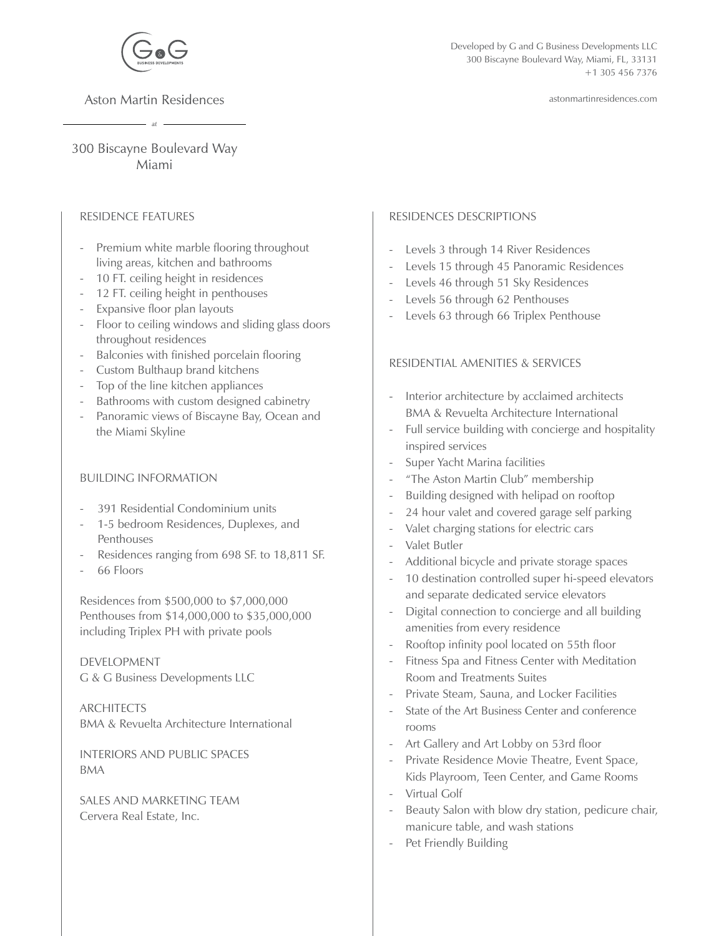

**Aston Martin Residences** 

astonmartinresidences.com

300 Biscayne Boulevard Way Miami

## RESIDENCE FEATURES

- Premium white marble flooring throughout living areas, kitchen and bathrooms
- 10 FT. ceiling height in residences
- 12 FT. ceiling height in penthouses
- Expansive floor plan layouts
- Floor to ceiling windows and sliding glass doors throughout residences
- Balconies with finished porcelain flooring
- Custom Bulthaup brand kitchens
- Top of the line kitchen appliances
- Bathrooms with custom designed cabinetry
- Panoramic views of Biscayne Bay, Ocean and the Miami Skyline

## BUILDING INFORMATION

- 391 Residential Condominium units
- 1-5 bedroom Residences, Duplexes, and Penthouses
- Residences ranging from 698 SF. to 18,811 SF.
- 66 Floors

Residences from \$500,000 to \$7,000,000 Penthouses from \$14,000,000 to \$35,000,000 including Triplex PH with private pools

DEVELOPMENT G & G Business Developments LLC

ARCHITECTS BMA & Revuelta Architecture International

INTERIORS AND PUBLIC SPACES BMA

SALES AND MARKETING TEAM Cervera Real Estate, Inc.

## RESIDENCES DESCRIPTIONS

- Levels 3 through 14 River Residences
- Levels 15 through 45 Panoramic Residences
- Levels 46 through 51 Sky Residences
- Levels 56 through 62 Penthouses
- Levels 63 through 66 Triplex Penthouse

## RESIDENTIAL AMENITIES & SERVICES

- Interior architecture by acclaimed architects BMA & Revuelta Architecture International
- Full service building with concierge and hospitality inspired services
- Super Yacht Marina facilities
- "The Aston Martin Club" membership
- Building designed with helipad on rooftop
- 24 hour valet and covered garage self parking
- Valet charging stations for electric cars
- Valet Butler
- Additional bicycle and private storage spaces
- 10 destination controlled super hi-speed elevators and separate dedicated service elevators
- Digital connection to concierge and all building amenities from every residence
- Rooftop infinity pool located on 55th floor
- Fitness Spa and Fitness Center with Meditation Room and Treatments Suites
- Private Steam, Sauna, and Locker Facilities
- State of the Art Business Center and conference rooms
- Art Gallery and Art Lobby on 53rd floor
- Private Residence Movie Theatre, Event Space, Kids Playroom, Teen Center, and Game Rooms
- Virtual Golf
- Beauty Salon with blow dry station, pedicure chair, manicure table, and wash stations
- Pet Friendly Building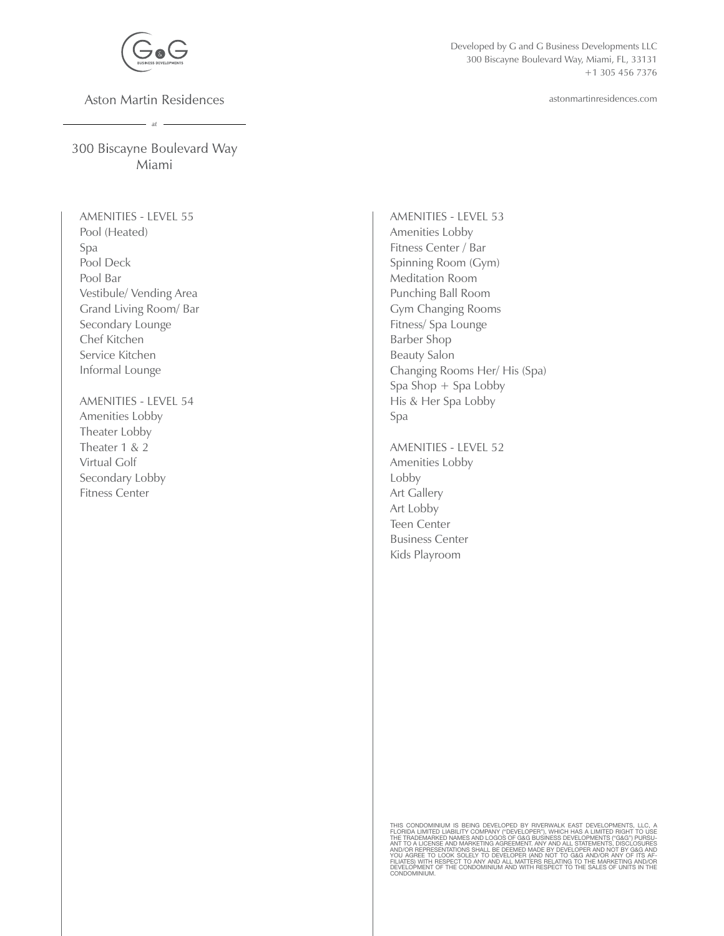

**Aston Martin Residences**  $-$  at  $-$ 

Developed by G and G Business Developments LLC 300 Biscayne Boulevard Way, Miami, FL, 33131 +1 305 456 7376

astonmartinresidences.com

300 Biscayne Boulevard Way Miami

AMENITIES - LEVEL 55 Pool (Heated) Spa Pool Deck Pool Bar Vestibule/ Vending Area Grand Living Room/ Bar Secondary Lounge Chef Kitchen Service Kitchen Informal Lounge

AMENITIES - LEVEL 54 Amenities Lobby Theater Lobby Theater 1 & 2 Virtual Golf Secondary Lobby Fitness Center

AMENITIES - LEVEL 53 Amenities Lobby Fitness Center / Bar Spinning Room (Gym) Meditation Room Punching Ball Room Gym Changing Rooms Fitness/ Spa Lounge Barber Shop Beauty Salon Changing Rooms Her/ His (Spa) Spa Shop + Spa Lobby His & Her Spa Lobby Spa

AMENITIES - LEVEL 52 Amenities Lobby Lobby Art Gallery Art Lobby Teen Center Business Center Kids Playroom

THIS CONDOMINIUM IS BEING DEVELOPED EY RIVERWALK EAST DEVELOPMENTS, LLC, A<br>FLORIDA LIMITED LIABILITY COMPANY ("DEVELOPER"), WHICH HAS A LIMITED RIGHT TO USE<br>THE TRADEMARKED NAMES AND LOGOS OF G&G BUSINESS DEVELOPMENTS ("G& AND/OR REPRESENTATIONS SHALL BE DEEMED MADE BY DEVELOPER AND NOT BY G&G AND<br>YOU AGREE TO LOOK SOLELY TO DEVELOPER (AND NOT TO G&G AND/OR ANY OF ITS AF-<br>FILIATES) WITH RESPECT TO ANY AND ALL MATTERS RELATING TO THE MARKETIN